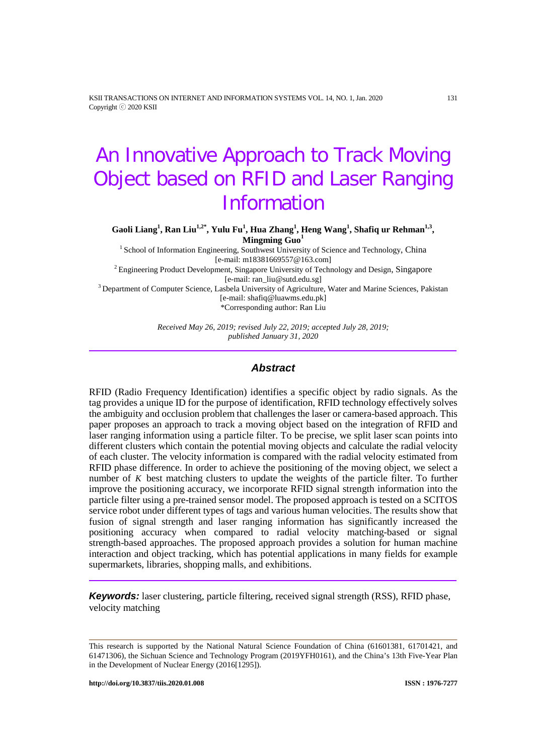KSII TRANSACTIONS ON INTERNET AND INFORMATION SYSTEMS VOL. 14, NO. 1, Jan. 2020 131 Copyright ⓒ 2020 KSII

# An Innovative Approach to Track Moving Object based on RFID and Laser Ranging Information

 $\mathbf{G}$ aoli Liang<sup>1</sup>, Ran Liu<sup>1,2\*</sup>, Yulu Fu<sup>1</sup>, Hua Zhang<sup>1</sup>, Heng Wang<sup>1</sup>, Shafiq ur Rehman<sup>1,3</sup>, **Mingming Guo<sup>1</sup>**

<sup>1</sup> School of Information Engineering, Southwest University of Science and Technology, China [e-mail: m18381669557@163.com]

<sup>2</sup> Engineering Product Development, Singapore University of Technology and Design, Singapore [e-mail: ran\_liu@sutd.edu.sg]

<sup>3</sup> Department of Computer Science, Lasbela University of Agriculture, Water and Marine Sciences, Pakistan [e-mail: shafiq@luawms.edu.pk] \*Corresponding author: Ran Liu

> *Received May 26, 2019; revised July 22, 2019; accepted July 28, 2019; published January 31, 2020*

# *Abstract*

RFID (Radio Frequency Identification) identifies a specific object by radio signals. As the tag provides a unique ID for the purpose of identification, RFID technology effectively solves the ambiguity and occlusion problem that challenges the laser or camera-based approach. This paper proposes an approach to track a moving object based on the integration of RFID and laser ranging information using a particle filter. To be precise, we split laser scan points into different clusters which contain the potential moving objects and calculate the radial velocity of each cluster. The velocity information is compared with the radial velocity estimated from RFID phase difference. In order to achieve the positioning of the moving object, we select a number of *K* best matching clusters to update the weights of the particle filter. To further improve the positioning accuracy, we incorporate RFID signal strength information into the particle filter using a pre-trained sensor model. The proposed approach is tested on a SCITOS service robot under different types of tags and various human velocities. The results show that fusion of signal strength and laser ranging information has significantly increased the positioning accuracy when compared to radial velocity matching-based or signal strength-based approaches. The proposed approach provides a solution for human machine interaction and object tracking, which has potential applications in many fields for example supermarkets, libraries, shopping malls, and exhibitions.

*Keywords:* laser clustering, particle filtering, received signal strength (RSS), RFID phase, velocity matching

This research is supported by the National Natural Science Foundation of China (61601381, 61701421, and 61471306), the Sichuan Science and Technology Program (2019YFH0161), and the China's 13th Five-Year Plan in the Development of Nuclear Energy (2016[1295]).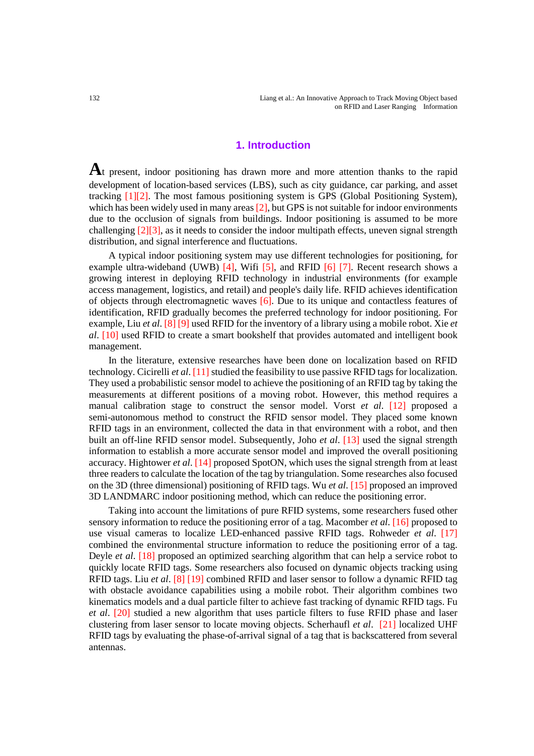### **1. Introduction**

**A**t present, indoor positioning has drawn more and more attention thanks to the rapid development of location-based services (LBS), such as city guidance, car parking, and asset tracking [1][2]. The most famous positioning system is GPS (Global Positioning System), which has been widely used in many areas  $[2]$ , but GPS is not suitable for indoor environments due to the occlusion of signals from buildings. Indoor positioning is assumed to be more challenging [2][3], as it needs to consider the indoor multipath effects, uneven signal strength distribution, and signal interference and fluctuations.

A typical indoor positioning system may use different technologies for positioning, for example ultra-wideband (UWB) [4], Wifi [5], and RFID [6] [7]. Recent research shows a growing interest in deploying RFID technology in industrial environments (for example access management, logistics, and retail) and people's daily life. RFID achieves identification of objects through electromagnetic waves [6]. Due to its unique and contactless features of identification, RFID gradually becomes the preferred technology for indoor positioning. For example, Liu *et al*. [8] [9] used RFID for the inventory of a library using a mobile robot. Xie *et al*. [10] used RFID to create a smart bookshelf that provides automated and intelligent book management.

In the literature, extensive researches have been done on localization based on RFID technology. Cicirelli *et al*. [11] studied the feasibility to use passive RFID tags for localization. They used a probabilistic sensor model to achieve the positioning of an RFID tag by taking the measurements at different positions of a moving robot. However, this method requires a manual calibration stage to construct the sensor model. Vorst *et al*. [12] proposed a semi-autonomous method to construct the RFID sensor model. They placed some known RFID tags in an environment, collected the data in that environment with a robot, and then built an off-line RFID sensor model. Subsequently, Joho *et al*. [13] used the signal strength information to establish a more accurate sensor model and improved the overall positioning accuracy. Hightower *et al*. [14] proposed SpotON, which uses the signal strength from at least three readers to calculate the location of the tag by triangulation. Some researches also focused on the 3D (three dimensional) positioning of RFID tags. Wu *et al*. [15] proposed an improved 3D LANDMARC indoor positioning method, which can reduce the positioning error.

Taking into account the limitations of pure RFID systems, some researchers fused other sensory information to reduce the positioning error of a tag. Macomber *et al*. [16] proposed to use visual cameras to localize LED-enhanced passive RFID tags. Rohweder *et al*. [17] combined the environmental structure information to reduce the positioning error of a tag. Deyle *et al*. [18] proposed an optimized searching algorithm that can help a service robot to quickly locate RFID tags. Some researchers also focused on dynamic objects tracking using RFID tags. Liu *et al*. [8] [19] combined RFID and laser sensor to follow a dynamic RFID tag with obstacle avoidance capabilities using a mobile robot. Their algorithm combines two kinematics models and a dual particle filter to achieve fast tracking of dynamic RFID tags. Fu *et al*. [20] studied a new algorithm that uses particle filters to fuse RFID phase and laser clustering from laser sensor to locate moving objects. Scherhaufl *et al*. [21] localized UHF RFID tags by evaluating the phase-of-arrival signal of a tag that is backscattered from several antennas.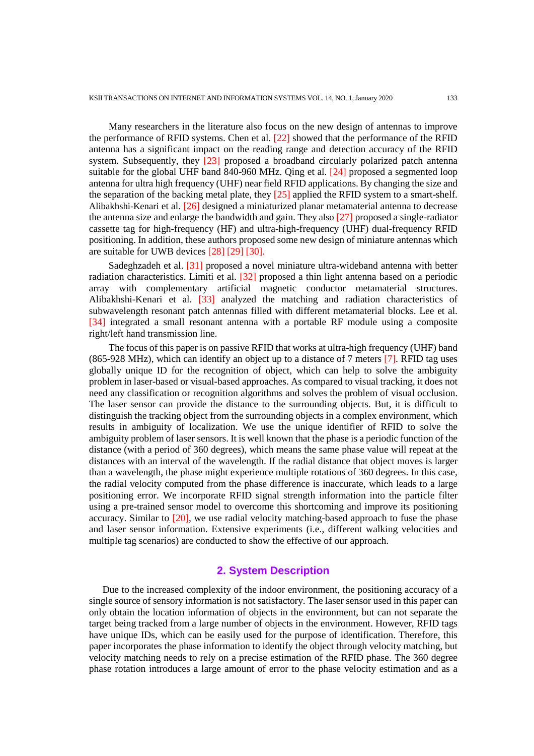Many researchers in the literature also focus on the new design of antennas to improve the performance of RFID systems. Chen et al. [22] showed that the performance of the RFID antenna has a significant impact on the reading range and detection accuracy of the RFID system. Subsequently, they [23] proposed a broadband circularly polarized patch antenna suitable for the global UHF band 840-960 MHz. Qing et al. [24] proposed a segmented loop antenna for ultra high frequency (UHF) near field RFID applications. By changing the size and the separation of the backing metal plate, they [25] applied the RFID system to a smart-shelf. Alibakhshi-Kenari et al. [26] designed a miniaturized planar metamaterial antenna to decrease the antenna size and enlarge the bandwidth and gain. They also [27] proposed a single-radiator cassette tag for high-frequency (HF) and ultra-high-frequency (UHF) dual-frequency RFID positioning. In addition, these authors proposed some new design of miniature antennas which are suitable for UWB devices [28] [29] [30].

Sadeghzadeh et al. [31] proposed a novel miniature ultra-wideband antenna with better radiation characteristics. Limiti et al. [32] proposed a thin light antenna based on a periodic array with complementary artificial magnetic conductor metamaterial structures. Alibakhshi-Kenari et al. [33] analyzed the matching and radiation characteristics of subwavelength resonant patch antennas filled with different metamaterial blocks. Lee et al. [34] integrated a small resonant antenna with a portable RF module using a composite right/left hand transmission line.

The focus of this paper is on passive RFID that works at ultra-high frequency (UHF) band (865-928 MHz), which can identify an object up to a distance of 7 meters [7]. RFID tag uses globally unique ID for the recognition of object, which can help to solve the ambiguity problem in laser-based or visual-based approaches. As compared to visual tracking, it does not need any classification or recognition algorithms and solves the problem of visual occlusion. The laser sensor can provide the distance to the surrounding objects. But, it is difficult to distinguish the tracking object from the surrounding objects in a complex environment, which results in ambiguity of localization. We use the unique identifier of RFID to solve the ambiguity problem of laser sensors. It is well known that the phase is a periodic function of the distance (with a period of 360 degrees), which means the same phase value will repeat at the distances with an interval of the wavelength. If the radial distance that object moves is larger than a wavelength, the phase might experience multiple rotations of 360 degrees. In this case, the radial velocity computed from the phase difference is inaccurate, which leads to a large positioning error. We incorporate RFID signal strength information into the particle filter using a pre-trained sensor model to overcome this shortcoming and improve its positioning accuracy. Similar to [20], we use radial velocity matching-based approach to fuse the phase and laser sensor information. Extensive experiments (i.e., different walking velocities and multiple tag scenarios) are conducted to show the effective of our approach.

# **2. System Description**

Due to the increased complexity of the indoor environment, the positioning accuracy of a single source of sensory information is not satisfactory. The laser sensor used in this paper can only obtain the location information of objects in the environment, but can not separate the target being tracked from a large number of objects in the environment. However, RFID tags have unique IDs, which can be easily used for the purpose of identification. Therefore, this paper incorporates the phase information to identify the object through velocity matching, but velocity matching needs to rely on a precise estimation of the RFID phase. The 360 degree phase rotation introduces a large amount of error to the phase velocity estimation and as a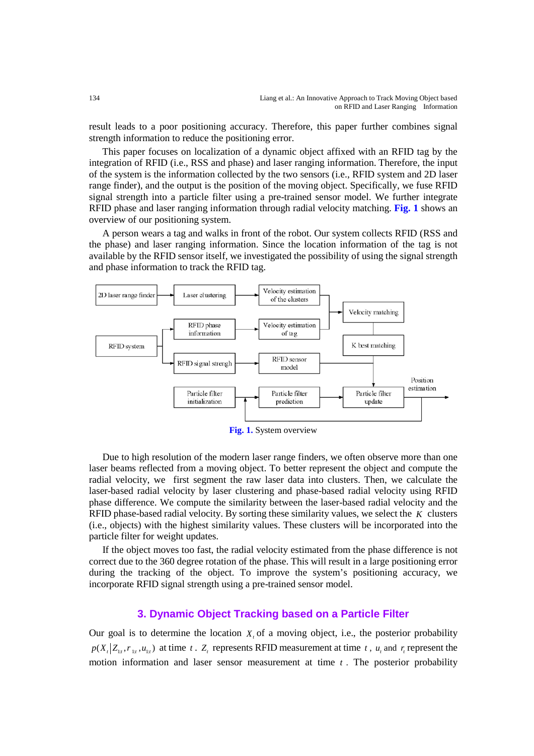result leads to a poor positioning accuracy. Therefore, this paper further combines signal strength information to reduce the positioning error.

This paper focuses on localization of a dynamic object affixed with an RFID tag by the integration of RFID (i.e., RSS and phase) and laser ranging information. Therefore, the input of the system is the information collected by the two sensors (i.e., RFID system and 2D laser range finder), and the output is the position of the moving object. Specifically, we fuse RFID signal strength into a particle filter using a pre-trained sensor model. We further integrate RFID phase and laser ranging information through radial velocity matching. **Fig. 1** shows an overview of our positioning system.

A person wears a tag and walks in front of the robot. Our system collects RFID (RSS and the phase) and laser ranging information. Since the location information of the tag is not available by the RFID sensor itself, we investigated the possibility of using the signal strength and phase information to track the RFID tag.



**Fig. 1.** System overview

Due to high resolution of the modern laser range finders, we often observe more than one laser beams reflected from a moving object. To better represent the object and compute the radial velocity, we first segment the raw laser data into clusters. Then, we calculate the laser-based radial velocity by laser clustering and phase-based radial velocity using RFID phase difference. We compute the similarity between the laser-based radial velocity and the RFID phase-based radial velocity. By sorting these similarity values, we select the *K* clusters (i.e., objects) with the highest similarity values. These clusters will be incorporated into the particle filter for weight updates.

If the object moves too fast, the radial velocity estimated from the phase difference is not correct due to the 360 degree rotation of the phase. This will result in a large positioning error during the tracking of the object. To improve the system's positioning accuracy, we incorporate RFID signal strength using a pre-trained sensor model.

#### **3. Dynamic Object Tracking based on a Particle Filter**

Our goal is to determine the location  $X<sub>i</sub>$  of a moving object, i.e., the posterior probability  $p(X_t | Z_t, r_{t}, u_{t})$  at time *t*.  $Z_t$  represents RFID measurement at time *t*,  $u_t$  and  $r_t$  represent the motion information and laser sensor measurement at time *t* . The posterior probability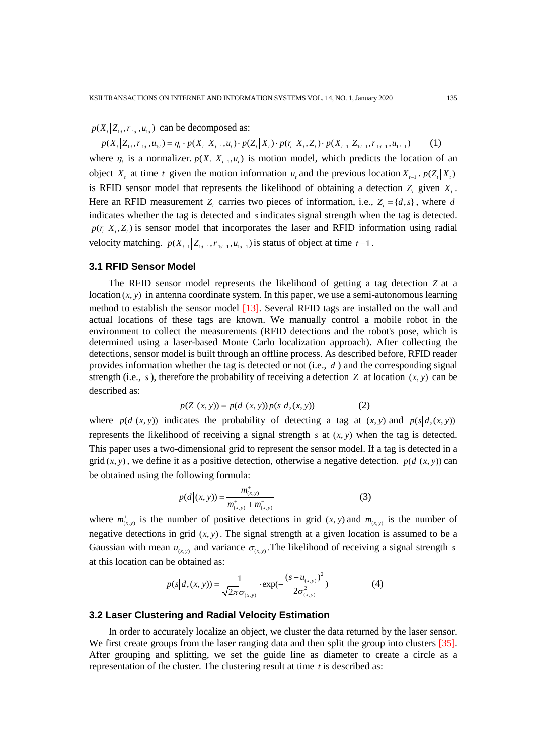$p(X_t | Z_{t}, r_{t}, u_{t})$  can be decomposed as:

 $p(X_t | Z_{t_1}, r_{t_1}, u_{t_1}) = \eta_t \cdot p(X_t | X_{t-1}, u_t) \cdot p(Z_t | X_t) \cdot p(r_t | X_t, Z_t) \cdot p(X_{t-1} | Z_{t-1}, r_{t-1}, u_{t-1})$  (1) where  $\eta_t$  is a normalizer.  $p(X_t | X_{t-1}, u_t)$  is motion model, which predicts the location of an object *X<sub>t</sub>* at time *t* given the motion information *u<sub>t</sub>* and the previous location  $X_{t-1}$ .  $p(Z_t|X_t)$ is RFID sensor model that represents the likelihood of obtaining a detection  $Z_t$  given  $X_t$ . Here an RFID measurement *Z<sub>t</sub>* carries two pieces of information, i.e.,  $Z_t = \{d, s\}$ , where *d* indicates whether the tag is detected and *s* indicates signal strength when the tag is detected.  $p(r, | X_i, Z_i)$  is sensor model that incorporates the laser and RFID information using radial velocity matching.  $p(X_{t-1} | Z_{t+1}, r_{t+1}, u_{t+1})$  is status of object at time  $t-1$ .

#### **3.1 RFID Sensor Model**

The RFID sensor model represents the likelihood of getting a tag detection *Z* at a  $location(x, y)$  in antenna coordinate system. In this paper, we use a semi-autonomous learning method to establish the sensor model [13]. Several RFID tags are installed on the wall and actual locations of these tags are known. We manually control a mobile robot in the environment to collect the measurements (RFID detections and the robot's pose, which is determined using a laser-based Monte Carlo localization approach). After collecting the detections, sensor model is built through an offline process. As described before, RFID reader provides information whether the tag is detected or not (i.e., *d* ) and the corresponding signal strength (i.e.,  $s$ ), therefore the probability of receiving a detection  $Z$  at location  $(x, y)$  can be described as:

$$
p(Z|(x, y)) = p(d|(x, y)) p(s|d, (x, y))
$$
 (2)

where  $p(d|(x, y))$  indicates the probability of detecting a tag at  $(x, y)$  and  $p(s|d, (x, y))$ represents the likelihood of receiving a signal strength  $s$  at  $(x, y)$  when the tag is detected. This paper uses a two-dimensional grid to represent the sensor model. If a tag is detected in a grid  $(x, y)$ , we define it as a positive detection, otherwise a negative detection.  $p(d|(x, y))$  can be obtained using the following formula:

$$
p(d|(x, y)) = \frac{m_{(x, y)}^+}{m_{(x, y)}^+ + m_{(x, y)}^-}
$$
(3)

where  $m^{\dagger}_{(x,y)}$  is the number of positive detections in grid  $(x, y)$  and  $m^{-}_{(x,y)}$  is the number of negative detections in grid  $(x, y)$ . The signal strength at a given location is assumed to be a Gaussian with mean  $u_{(x,y)}$  and variance  $\sigma_{(x,y)}$ . The likelihood of receiving a signal strength *s* at this location can be obtained as:

$$
p(s|d, (x, y)) = \frac{1}{\sqrt{2\pi}\sigma_{(x, y)}} \cdot \exp(-\frac{(s - u_{(x, y)})^2}{2\sigma_{(x, y)}^2})
$$
(4)

#### **3.2 Laser Clustering and Radial Velocity Estimation**

In order to accurately localize an object, we cluster the data returned by the laser sensor. We first create groups from the laser ranging data and then split the group into clusters [35]. After grouping and splitting, we set the guide line as diameter to create a circle as a representation of the cluster. The clustering result at time *t* is described as: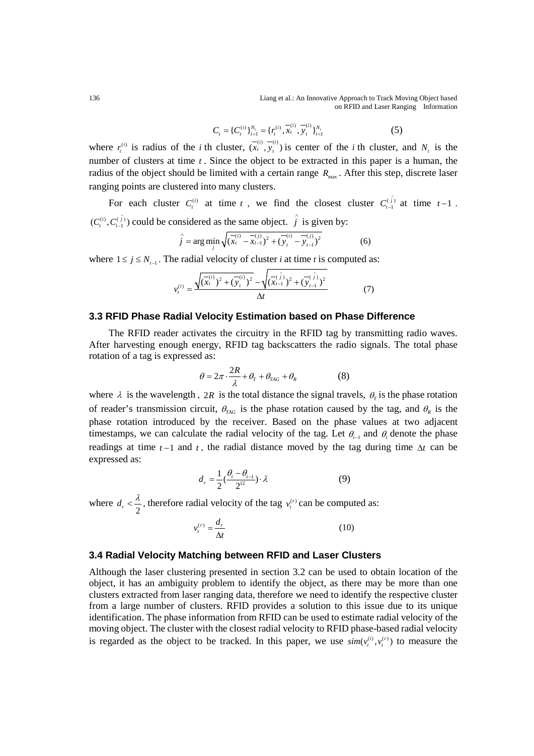136 Liang et al.: An Innovative Approach to Track Moving Object based on RFID and Laser Ranging Information

$$
C_t = \{C_t^{(i)}\}_{i=1}^{N_t} = \{r_t^{(i)}, \overline{x}_t^{(i)}, \overline{y}_t^{(i)}\}_{i=1}^{N_t}
$$
 (5)

where  $r_i^{(i)}$  is radius of the *i* th cluster,  $(\overline{x_i}^{(i)}, \overline{y_i}^{(i)})$  is center of the *i* th cluster, and  $N_i$  is the number of clusters at time *t* . Since the object to be extracted in this paper is a human, the radius of the object should be limited with a certain range  $R_{\text{max}}$ . After this step, discrete laser ranging points are clustered into many clusters.

For each cluster  $C_t^{(i)}$  at time *t*, we find the closest cluster  $C_{t-1}^{(i)}$  at time  $t-1$ .  $(C_t^{(i)}, C_{t-1}^{(\hat{j})})$  could be considered as the same object.  $\hat{j}$  is given by:

$$
\hat{j} = \arg\min_{j} \sqrt{(\overline{x}_t^{(i)} - \overline{x}_{t-1}^{(j)})^2 + (\overline{y}_t^{(i)} - \overline{y}_{t-1}^{(j)})^2}
$$
(6)

where  $1 \le j \le N_{t-1}$ . The radial velocity of cluster *i* at time *t* is computed as:

$$
v_t^{(i)} = \frac{\sqrt{(\overline{x}_t^{(i)})^2 + (\overline{y}_t^{(i)})^2} - \sqrt{(\overline{x}_{t-1}^{(i)})^2 + (\overline{y}_{t-1}^{(i)})^2}}{\Delta t}
$$
(7)

#### **3.3 RFID Phase Radial Velocity Estimation based on Phase Difference**

The RFID reader activates the circuitry in the RFID tag by transmitting radio waves. After harvesting enough energy, RFID tag backscatters the radio signals. The total phase rotation of a tag is expressed as:

$$
\theta = 2\pi \cdot \frac{2R}{\lambda} + \theta_r + \theta_{\text{TAG}} + \theta_R \tag{8}
$$

where  $\lambda$  is the wavelength, 2*R* is the total distance the signal travels,  $\theta_r$  is the phase rotation of reader's transmission circuit,  $\theta_{TAG}$  is the phase rotation caused by the tag, and  $\theta_R$  is the phase rotation introduced by the receiver. Based on the phase values at two adjacent timestamps, we can calculate the radial velocity of the tag. Let  $\theta_{t-1}$  and  $\theta_t$  denote the phase readings at time  $t-1$  and  $t$ , the radial distance moved by the tag during time  $\Delta t$  can be expressed as:

$$
d_r = \frac{1}{2} \left( \frac{\theta_r - \theta_{t-1}}{2^{12}} \right) \cdot \lambda \tag{9}
$$

where  $d_r < \frac{\lambda}{2}$ , therefore radial velocity of the tag  $v_t^{(r)}$  can be computed as:

$$
v_t^{(r)} = \frac{d_r}{\Delta t} \tag{10}
$$

# **3.4 Radial Velocity Matching between RFID and Laser Clusters**

Although the laser clustering presented in section 3.2 can be used to obtain location of the object, it has an ambiguity problem to identify the object, as there may be more than one clusters extracted from laser ranging data, therefore we need to identify the respective cluster from a large number of clusters. RFID provides a solution to this issue due to its unique identification. The phase information from RFID can be used to estimate radial velocity of the moving object. The cluster with the closest radial velocity to RFID phase-based radial velocity is regarded as the object to be tracked. In this paper, we use  $\text{sim}(v_t^{(i)}, v_t^{(r)})$  to measure the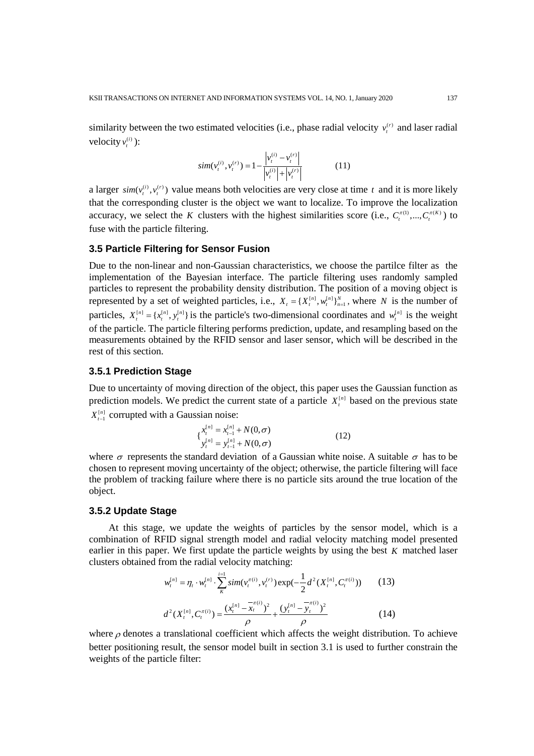similarity between the two estimated velocities (i.e., phase radial velocity  $v_t^{(r)}$  and laser radial velocity  $v_t^{(i)}$  ):

$$
sim(v_t^{(i)}, v_t^{(r)}) = 1 - \frac{|v_t^{(i)} - v_t^{(r)}|}{|v_t^{(i)}| + |v_t^{(r)}|}
$$
(11)

a larger  $\text{sim}(v_t^{(i)}, v_t^{(r)})$  value means both velocities are very close at time *t* and it is more likely that the corresponding cluster is the object we want to localize. To improve the localization accuracy, we select the *K* clusters with the highest similarities score (i.e.,  $C_t^{\pi(1)},..., C_t^{\pi(K)}$ ) to fuse with the particle filtering.

#### **3.5 Particle Filtering for Sensor Fusion**

Due to the non-linear and non-Gaussian characteristics, we choose the partilce filter as the implementation of the Bayesian interface. The particle filtering uses randomly sampled particles to represent the probability density distribution. The position of a moving object is represented by a set of weighted particles, i.e.,  $X_t = \{X_t^{[n]}, w_t^{[n]}\}_{n=1}^N$ , where *N* is the number of particles,  $X_t^{[n]} = \{x_t^{[n]}, y_t^{[n]}\}$  is the particle's two-dimensional coordinates and  $w_t^{[n]}$  is the weight of the particle. The particle filtering performs prediction, update, and resampling based on the measurements obtained by the RFID sensor and laser sensor, which will be described in the rest of this section.

# **3.5.1 Prediction Stage**

Due to uncertainty of moving direction of the object, this paper uses the Gaussian function as prediction models. We predict the current state of a particle  $X_t^{[n]}$  based on the previous state  $X_{t-1}^{[n]}$  corrupted with a Gaussian noise:

$$
\begin{cases} x_t^{[n]} = x_{t-1}^{[n]} + N(0, \sigma) \\ y_t^{[n]} = y_{t-1}^{[n]} + N(0, \sigma) \end{cases} \tag{12}
$$

where  $\sigma$  represents the standard deviation of a Gaussian white noise. A suitable  $\sigma$  has to be chosen to represent moving uncertainty of the object; otherwise, the particle filtering will face the problem of tracking failure where there is no particle sits around the true location of the object.

#### **3.5.2 Update Stage**

At this stage, we update the weights of particles by the sensor model, which is a combination of RFID signal strength model and radial velocity matching model presented earlier in this paper. We first update the particle weights by using the best *K* matched laser clusters obtained from the radial velocity matching:

$$
w_t^{[n]} = \eta_t \cdot w_t^{[n]} \cdot \sum_{K}^{i=1} sim(v_t^{\pi(i)}, v_t^{(r)}) exp(-\frac{1}{2} d^2(X_t^{[n]}, C_t^{\pi(i)}))
$$
 (13)  

$$
d^2(X_t^{[n]}, C_t^{\pi(i)}) = \frac{(x_t^{[n]} - \overline{x}_t^{(i)})^2}{\rho} + \frac{(y_t^{[n]} - \overline{y}_t^{(i)})^2}{\rho}
$$
 (14)

where  $\rho$  denotes a translational coefficient which affects the weight distribution. To achieve better positioning result, the sensor model built in section 3.1 is used to further constrain the weights of the particle filter: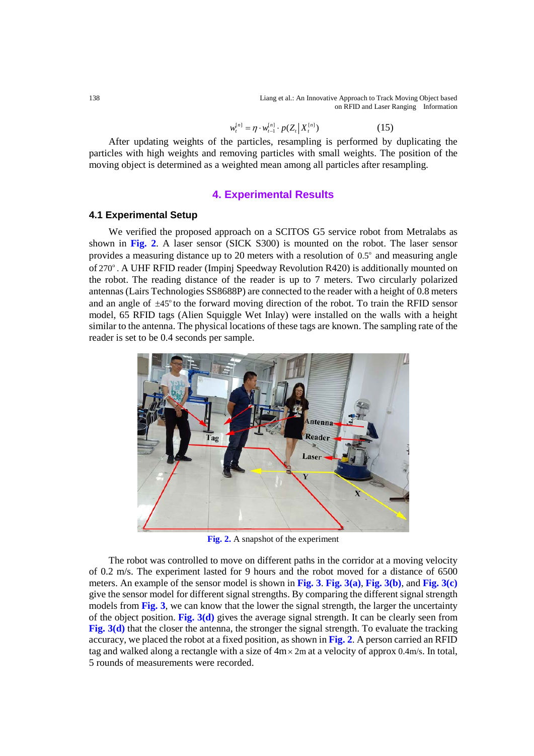138 Liang et al.: An Innovative Approach to Track Moving Object based on RFID and Laser Ranging Information

$$
w_t^{[n]} = \eta \cdot w_{t-1}^{[n]} \cdot p(Z_t | X_t^{[n]})
$$
\n(15)

After updating weights of the particles, resampling is performed by duplicating the particles with high weights and removing particles with small weights. The position of the moving object is determined as a weighted mean among all particles after resampling.

#### **4. Experimental Results**

### **4.1 Experimental Setup**

We verified the proposed approach on a SCITOS G5 service robot from Metralabs as shown in **Fig. 2**. A laser sensor (SICK S300) is mounted on the robot. The laser sensor provides a measuring distance up to 20 meters with a resolution of  $0.5^\circ$  and measuring angle of 270°. A UHF RFID reader (Impinj Speedway Revolution R420) is additionally mounted on the robot. The reading distance of the reader is up to 7 meters. Two circularly polarized antennas (Lairs Technologies SS8688P) are connected to the reader with a height of 0.8 meters and an angle of  $\pm 45^\circ$  to the forward moving direction of the robot. To train the RFID sensor model, 65 RFID tags (Alien Squiggle Wet Inlay) were installed on the walls with a height similar to the antenna. The physical locations of these tags are known. The sampling rate of the reader is set to be 0.4 seconds per sample.



**Fig. 2.** A snapshot of the experiment

The robot was controlled to move on different paths in the corridor at a moving velocity of 0.2 m/s. The experiment lasted for 9 hours and the robot moved for a distance of 6500 meters. An example of the sensor model is shown in **Fig. 3**. **Fig. 3(a)**, **Fig. 3(b)**, and **Fig. 3(c)** give the sensor model for different signal strengths. By comparing the different signal strength models from **Fig. 3**, we can know that the lower the signal strength, the larger the uncertainty of the object position. **Fig. 3(d)** gives the average signal strength. It can be clearly seen from **Fig. 3(d)** that the closer the antenna, the stronger the signal strength. To evaluate the tracking accuracy, we placed the robot at a fixed position, as shown in **Fig. 2**. A person carried an RFID tag and walked along a rectangle with a size of  $4m \times 2m$  at a velocity of approx 0.4m/s. In total, 5 rounds of measurements were recorded.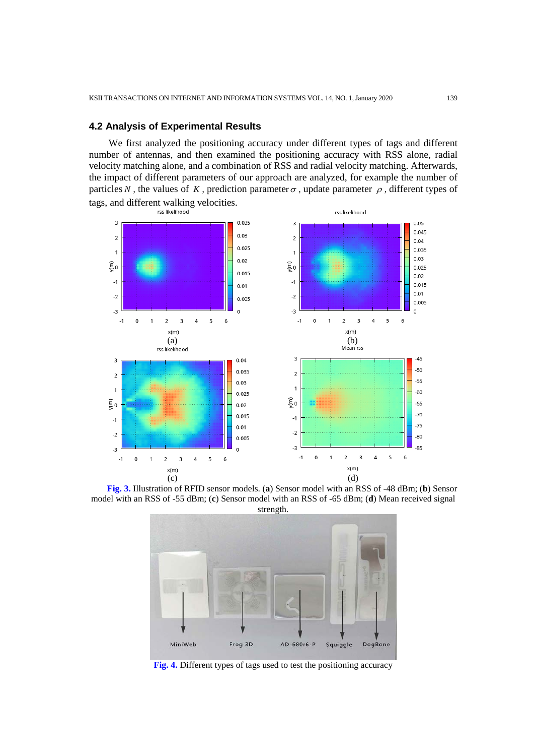#### **4.2 Analysis of Experimental Results**

We first analyzed the positioning accuracy under different types of tags and different number of antennas, and then examined the positioning accuracy with RSS alone, radial velocity matching alone, and a combination of RSS and radial velocity matching. Afterwards, the impact of different parameters of our approach are analyzed, for example the number of particles *N*, the values of *K*, prediction parameter  $\sigma$ , update parameter  $\rho$ , different types of tags, and different walking velocities.<br>  $\frac{1}{155}$  likelihood



**Fig. 3.** Illustration of RFID sensor models. (**a**) Sensor model with an RSS of -48 dBm; (**b**) Sensor model with an RSS of -55 dBm; (**c**) Sensor model with an RSS of -65 dBm; (**d**) Mean received signal strength.



**Fig. 4.** Different types of tags used to test the positioning accuracy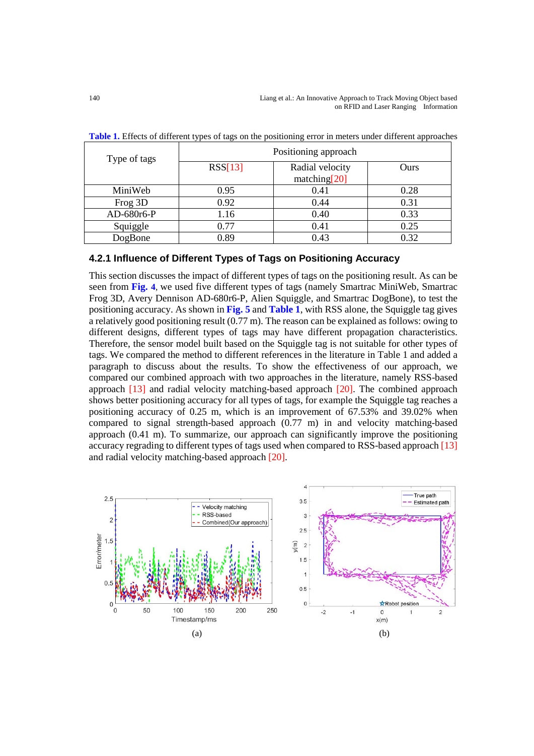| Type of tags | Positioning approach |                                 |      |  |
|--------------|----------------------|---------------------------------|------|--|
|              | RSS[13]              | Radial velocity<br>matching[20] | Ours |  |
| MiniWeb      | 0.95                 | 0.41                            | 0.28 |  |
| Frog 3D      | 0.92                 | 0.44                            | 0.31 |  |
| AD-680r6-P   | 1.16                 | 0.40                            | 0.33 |  |
| Squiggle     | 0.77                 | 0.41                            | 0.25 |  |
| DogBone      | 0.89                 | 0.43                            | 0.32 |  |

**Table 1.** Effects of different types of tags on the positioning error in meters under different approaches

# **4.2.1 Influence of Different Types of Tags on Positioning Accuracy**

This section discusses the impact of different types of tags on the positioning result. As can be seen from **Fig. 4**, we used five different types of tags (namely Smartrac MiniWeb, Smartrac Frog 3D, Avery Dennison AD-680r6-P, Alien Squiggle, and Smartrac DogBone), to test the positioning accuracy. As shown in **Fig. 5** and **Table 1**, with RSS alone, the Squiggle tag gives a relatively good positioning result (0.77 m). The reason can be explained as follows: owing to different designs, different types of tags may have different propagation characteristics. Therefore, the sensor model built based on the Squiggle tag is not suitable for other types of tags. We compared the method to different references in the literature in Table 1 and added a paragraph to discuss about the results. To show the effectiveness of our approach, we compared our combined approach with two approaches in the literature, namely RSS-based approach [13] and radial velocity matching-based approach [20]. The combined approach shows better positioning accuracy for all types of tags, for example the Squiggle tag reaches a positioning accuracy of 0.25 m, which is an improvement of 67.53% and 39.02% when compared to signal strength-based approach (0.77 m) in and velocity matching-based approach (0.41 m). To summarize, our approach can significantly improve the positioning accuracy regrading to different types of tags used when compared to RSS-based approach [13] and radial velocity matching-based approach [20].

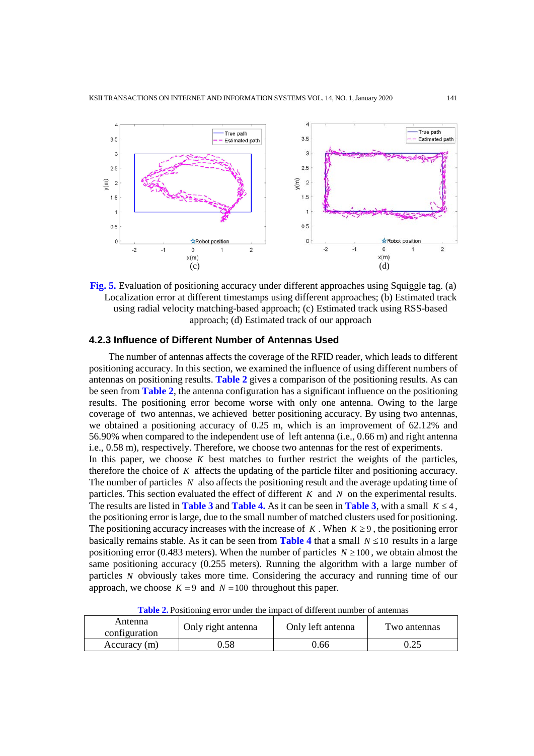

**Fig. 5.** Evaluation of positioning accuracy under different approaches using Squiggle tag. (a) Localization error at different timestamps using different approaches; (b) Estimated track using radial velocity matching-based approach; (c) Estimated track using RSS-based approach; (d) Estimated track of our approach

#### **4.2.3 Influence of Different Number of Antennas Used**

The number of antennas affects the coverage of the RFID reader, which leads to different positioning accuracy. In this section, we examined the influence of using different numbers of antennas on positioning results. **Table 2** gives a comparison of the positioning results. As can be seen from **Table 2**, the antenna configuration has a significant influence on the positioning results. The positioning error become worse with only one antenna. Owing to the large coverage of two antennas, we achieved better positioning accuracy. By using two antennas, we obtained a positioning accuracy of 0.25 m, which is an improvement of 62.12% and 56.90% when compared to the independent use of left antenna (i.e., 0.66 m) and right antenna i.e., 0.58 m), respectively. Therefore, we choose two antennas for the rest of experiments. In this paper, we choose *K* best matches to further restrict the weights of the particles, therefore the choice of *K* affects the updating of the particle filter and positioning accuracy. The number of particles *N* also affects the positioning result and the average updating time of particles. This section evaluated the effect of different *K* and *N* on the experimental results. The results are listed in **Table 3** and **Table 4.** As it can be seen in **Table 3**, with a small  $K \leq 4$ , the positioning error is large, due to the small number of matched clusters used for positioning. The positioning accuracy increases with the increase of  $K$ . When  $K \geq 9$ , the positioning error basically remains stable. As it can be seen from **Table 4** that a small  $N \le 10$  results in a large positioning error (0.483 meters). When the number of particles  $N \ge 100$ , we obtain almost the same positioning accuracy (0.255 meters). Running the algorithm with a large number of particles *N* obviously takes more time. Considering the accuracy and running time of our approach, we choose  $K = 9$  and  $N = 100$  throughout this paper.

**Table 2.** Positioning error under the impact of different number of antennas

| Antenna<br>configuration | Only right antenna | Only left antenna | Two antennas |  |
|--------------------------|--------------------|-------------------|--------------|--|
| Accuracy (m)             | ).58               | 0.66              | 0.25         |  |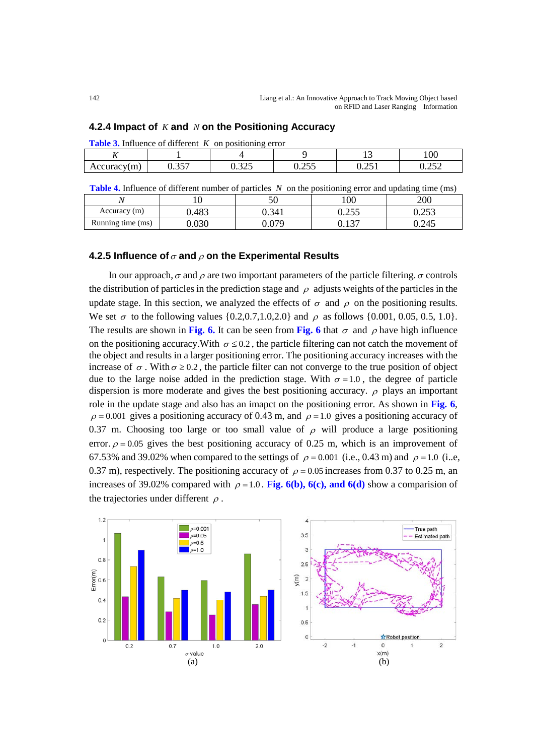| <b>Table 3.</b> Influence of different $K$ on positioning error |  |     |                 |              |             |
|-----------------------------------------------------------------|--|-----|-----------------|--------------|-------------|
|                                                                 |  |     |                 |              | 100         |
| Accuracy(m)                                                     |  | 225 | .255<br>ل ل⊥ے و | ΩE<br>U.∠J 1 | າເາ<br>いんきん |

**4.2.4 Impact of** *K* **and** *N* **on the Positioning Accuracy**

**Table 4.** Influence of different number of particles *N* on the positioning error and updating time (ms)

| <b>Table 4.</b> Impactive of anterest named of particles <i>IV</i> on the positioning error and apuding this (ins) |      |       |       |       |
|--------------------------------------------------------------------------------------------------------------------|------|-------|-------|-------|
|                                                                                                                    |      |       | 100   | 200   |
| Accuracy (m)                                                                                                       | ۔483 | ).341 | ).255 | 0.253 |
| Running time (ms)                                                                                                  | 030  | 079   |       | 0.245 |

# **4.2.5 Influence of**  $\sigma$  and  $\rho$  on the Experimental Results

In our approach,  $\sigma$  and  $\rho$  are two important parameters of the particle filtering.  $\sigma$  controls the distribution of particles in the prediction stage and  $\rho$  adjusts weights of the particles in the update stage. In this section, we analyzed the effects of  $\sigma$  and  $\rho$  on the positioning results. We set  $\sigma$  to the following values {0.2,0.7,1.0,2.0} and  $\rho$  as follows {0.001, 0.05, 0.5, 1.0}. The results are shown in **Fig. 6.** It can be seen from **Fig. 6** that  $\sigma$  and  $\rho$  have high influence on the positioning accuracy. With  $\sigma \le 0.2$ , the particle filtering can not catch the movement of the object and results in a larger positioning error. The positioning accuracy increases with the increase of  $\sigma$ . With  $\sigma \ge 0.2$ , the particle filter can not converge to the true position of object due to the large noise added in the prediction stage. With  $\sigma = 1.0$ , the degree of particle dispersion is more moderate and gives the best positioning accuracy.  $\rho$  plays an important role in the update stage and also has an imapct on the positioning error. As shown in **Fig. 6**,  $\rho = 0.001$  gives a positioning accuracy of 0.43 m, and  $\rho = 1.0$  gives a positioning accuracy of 0.37 m. Choosing too large or too small value of  $\rho$  will produce a large positioning error.  $\rho = 0.05$  gives the best positioning accuracy of 0.25 m, which is an improvement of 67.53% and 39.02% when compared to the settings of  $\rho = 0.001$  (i.e., 0.43 m) and  $\rho = 1.0$  (i.e. 0.37 m), respectively. The positioning accuracy of  $\rho = 0.05$  increases from 0.37 to 0.25 m, an increases of 39.02% compared with  $\rho = 1.0$ . **Fig. 6(b), 6(c), and 6(d)** show a comparision of the trajectories under different  $\rho$ .

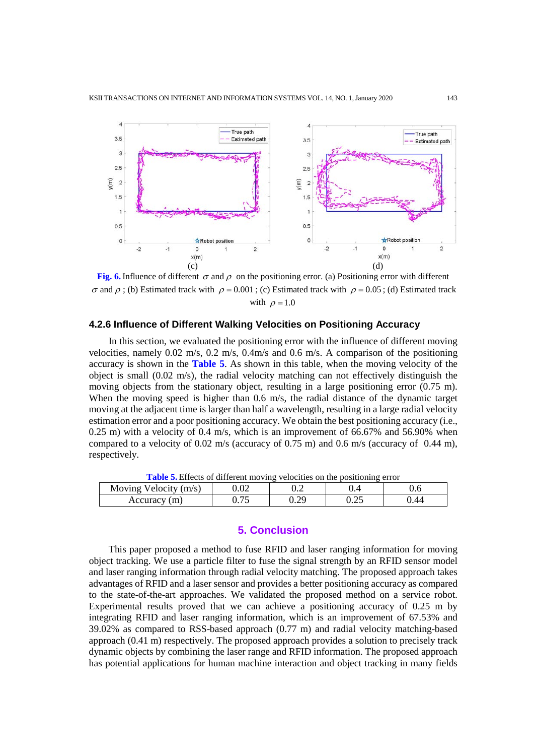

**Fig. 6.** Influence of different  $\sigma$  and  $\rho$  on the positioning error. (a) Positioning error with different σ and ρ; (b) Estimated track with  $ρ = 0.001$ ; (c) Estimated track with  $ρ = 0.05$ ; (d) Estimated track with  $\rho = 1.0$ 

#### **4.2.6 Influence of Different Walking Velocities on Positioning Accuracy**

In this section, we evaluated the positioning error with the influence of different moving velocities, namely 0.02 m/s, 0.2 m/s, 0.4m/s and 0.6 m/s. A comparison of the positioning accuracy is shown in the **Table 5**. As shown in this table, when the moving velocity of the object is small  $(0.02 \text{ m/s})$ , the radial velocity matching can not effectively distinguish the moving objects from the stationary object, resulting in a large positioning error (0.75 m). When the moving speed is higher than 0.6 m/s, the radial distance of the dynamic target moving at the adjacent time is larger than half a wavelength, resulting in a large radial velocity estimation error and a poor positioning accuracy. We obtain the best positioning accuracy (i.e., 0.25 m) with a velocity of 0.4 m/s, which is an improvement of 66.67% and 56.90% when compared to a velocity of  $0.02$  m/s (accuracy of  $0.75$  m) and  $0.6$  m/s (accuracy of  $0.44$  m), respectively.

| <b>Table 3.</b> Effects of unferent moving velocities on the positioning effor- |  |     |  |      |  |
|---------------------------------------------------------------------------------|--|-----|--|------|--|
| Moving Velocity $(m/s)$                                                         |  | U.Z |  |      |  |
| Accuracy (m)                                                                    |  | J.Z |  | 44 ( |  |

**Table 5.** Effects of different moving velocities on the positioning error

# **5. Conclusion**

This paper proposed a method to fuse RFID and laser ranging information for moving object tracking. We use a particle filter to fuse the signal strength by an RFID sensor model and laser ranging information through radial velocity matching. The proposed approach takes advantages of RFID and a laser sensor and provides a better positioning accuracy as compared to the state-of-the-art approaches. We validated the proposed method on a service robot. Experimental results proved that we can achieve a positioning accuracy of 0.25 m by integrating RFID and laser ranging information, which is an improvement of 67.53% and 39.02% as compared to RSS-based approach (0.77 m) and radial velocity matching-based approach (0.41 m) respectively. The proposed approach provides a solution to precisely track dynamic objects by combining the laser range and RFID information. The proposed approach has potential applications for human machine interaction and object tracking in many fields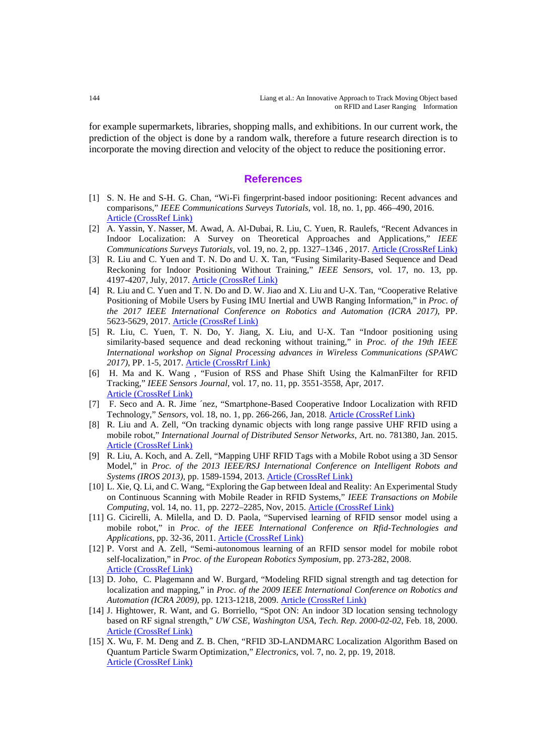for example supermarkets, libraries, shopping malls, and exhibitions. In our current work, the prediction of the object is done by a random walk, therefore a future research direction is to incorporate the moving direction and velocity of the object to reduce the positioning error.

#### **References**

- [1] S. N. He and S-H. G. Chan, "Wi-Fi fingerprint-based indoor positioning: Recent advances and comparisons," *IEEE Communications Surveys Tutorials*, vol. 18, no. 1, pp. 466–490, 2016. [Article \(CrossRef Link\)](https://ieeexplore.ieee.org/document/7174948)
- [2] A. Yassin, Y. Nasser, M. Awad, A. Al-Dubai, R. Liu, C. Yuen, R. Raulefs, "Recent Advances in Indoor Localization: A Survey on Theoretical Approaches and Applications," *IEEE Communications Surveys Tutorials*, vol. 19, no. 2, pp. 1327–1346 , 2017. [Article \(CrossRef Link\)](https://ieeexplore.ieee.org/document/7762095)
- [3] R. Liu and C. Yuen and T. N. Do and U. X. Tan, "Fusing Similarity-Based Sequence and Dead Reckoning for Indoor Positioning Without Training," *IEEE Sensors*, vol. 17, no. 13, pp. 4197-4207, July, 2017. [Article \(CrossRef Link\)](https://ieeexplore.ieee.org/document/7932184)
- [4] R. Liu and C. Yuen and T. N. Do and D. W. Jiao and X. Liu and U-X. Tan, "Cooperative Relative Positioning of Mobile Users by Fusing IMU Inertial and UWB Ranging Information," in *Proc. of the 2017 IEEE International Conference on Robotics and Automation (ICRA 2017)*, PP. 5623-5629, 2017. [Article \(CrossRef Link\)](https://ieeexplore.ieee.org/document/7989660)
- [5] R. Liu, C. Yuen, T. N. Do, Y. Jiang, X. Liu, and U-X. Tan "Indoor positioning using similarity-based sequence and dead reckoning without training," in *Proc. of the 19th IEEE International workshop on Signal Processing advances in Wireless Communications (SPAWC 2017)*, PP. 1-5, 2017. [Article \(CrossRrf Link\)](https://ieeexplore.ieee.org/document/8227641)
- [6] H. Ma and K. Wang , "Fusion of RSS and Phase Shift Using the KalmanFilter for RFID Tracking," *IEEE Sensors Journal*, vol. 17, no. 11, pp. 3551-3558, Apr, 2017. [Article \(CrossRef Link\)](https://ieeexplore.ieee.org/document/7906582)
- [7] F. Seco and A. R. Jime ´nez, "Smartphone-Based Cooperative Indoor Localization with RFID Technology," *Sensors*, vol. 18, no. 1, pp. 266-266, Jan, 2018. [Article \(CrossRef Link\)](https://www.researchgate.net/publication/322601037_Smartphone-Based_Cooperative_Indoor_Localization_with_RFID_Technology)
- [8] R. Liu and A. Zell, "On tracking dynamic objects with long range passive UHF RFID using a mobile robot," *International Journal of Distributed Sensor Networks*, Art. no. 781380, Jan. 2015. [Article \(CrossRef Link\)](https://dl.acm.org/citation.cfm?id=2810710.2810779)
- [9] R. Liu, A. Koch, and A. Zell, "Mapping UHF RFID Tags with a Mobile Robot using a 3D Sensor Model," in *Proc. of the 2013 IEEE/RSJ International Conference on Intelligent Robots and Systems (IROS 2013)*, pp. 1589-1594, 2013. [Article \(CrossRef Link\)](https://ieeexplore.ieee.org/document/6696561)
- [10] L. Xie, Q. Li, and C. Wang, "Exploring the Gap between Ideal and Reality: An Experimental Study on Continuous Scanning with Mobile Reader in RFID Systems," *IEEE Transactions on Mobile Computing*, vol. 14, no. 11, pp. 2272–2285, Nov, 2015. [Article \(CrossRef Link\)](https://ieeexplore.ieee.org/document/7018022)
- [11] G. Cicirelli, A. Milella, and D. D. Paola, "Supervised learning of RFID sensor model using a mobile robot," in *Proc. of the IEEE International Conference on Rfid-Technologies and Applications*, pp. 32-36, 2011. [Article \(CrossRef Link\)](https://ieeexplore.ieee.org/document/6068612?arnumber=6068612)
- [12] P. Vorst and A. Zell, "Semi-autonomous learning of an RFID sensor model for mobile robot self-localization," in *Proc. of the European Robotics Symposium*, pp. 273-282, 2008. [Article \(CrossRef Link\)](https://www.researchgate.net/publication/221229914_Semi-autonomous_Learning_of_an_RFID_Sensor_Model_for_Mobile_Robot_Self-localization)
- [13] D. Joho, C. Plagemann and W. Burgard, "Modeling RFID signal strength and tag detection for localization and mapping," in *Proc. of the 2009 IEEE International Conference on Robotics and Automation (ICRA 2009)*, pp. 1213-1218, 2009. [Article \(CrossRef Link\)](https://ieeexplore.ieee.org/document/5152372)
- [14] J. Hightower, R. Want, and G. Borriello, "Spot ON: An indoor 3D location sensing technology based on RF signal strength," *UW CSE, Washington USA, Tech. Rep. 2000-02-02*, Feb. 18, 2000. [Article \(CrossRef Link\)](https://www.researchgate.net/publication/228541557_SpotON_An_Indoor_3D_Location_Sensing_Technology_Based_on_RF_Signal_Strength)
- [15] X. Wu, F. M. Deng and Z. B. Chen, "RFID 3D-LANDMARC Localization Algorithm Based on Quantum Particle Swarm Optimization," *Electronics*, vol. 7, no. 2, pp. 19, 2018. [Article \(CrossRef Link\)](https://www.mdpi.com/2079-9292/7/2/19)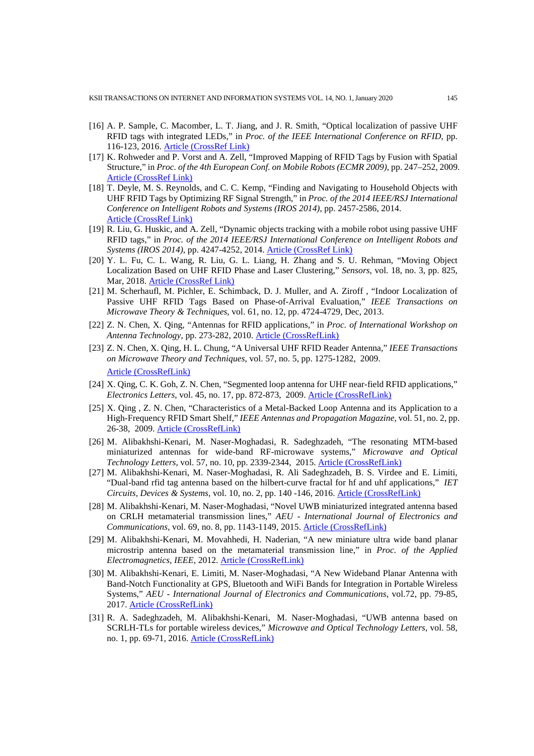- [16] A. P. Sample, C. Macomber, L. T. Jiang, and J. R. Smith, "Optical localization of passive UHF RFID tags with integrated LEDs," in *Proc. of the IEEE International Conference on RFID*, pp. 116-123, 2016. [Article \(CrossRef Link\)](https://ieeexplore.ieee.org/document/6193038)
- [17] K. Rohweder and P. Vorst and A. Zell, "Improved Mapping of RFID Tags by Fusion with Spatial Structure," in *Proc. of the 4th European Conf. on Mobile Robots (ECMR 2009)*, pp. 247–252, 2009. [Article \(CrossRef Link\)](https://www.researchgate.net/publication/221216161_Improved_Mapping_of_RFID_Tags_by_Fusion_with_Spatial_Structure)
- [18] T. Deyle, M. S. Reynolds, and C. C. Kemp, "Finding and Navigating to Household Objects with UHF RFID Tags by Optimizing RF Signal Strength," in *Proc. of the 2014 IEEE/RSJ International Conference on Intelligent Robots and Systems (IROS 2014)*, pp. 2457-2586, 2014. [Article \(CrossRef Link\)](https://ieeexplore.ieee.org/document/6942914)
- [19] R. Liu, G. Huskic, and A. Zell, "Dynamic objects tracking with a mobile robot using passive UHF RFID tags," in *Proc. of the 2014 IEEE/RSJ International Conference on Intelligent Robots and Systems (IROS 2014)*, pp. 4247-4252, 2014. [Article \(CrossRef Link\)](https://ieeexplore.ieee.org/document/6943161)
- [20] Y. L. Fu, C. L. Wang, R. Liu, G. L. Liang, H. Zhang and S. U. Rehman, "Moving Object Localization Based on UHF RFID Phase and Laser Clustering," *Sensors*, vol. 18, no. 3, pp. 825, Mar, 2018. [Article \(CrossRef Link\)](https://www.researchgate.net/publication/323668526_Moving_object_localization_based_on_UHF_RFID_phase_and_laser_clustering)
- [21] M. Scherhaufl, M. Pichler, E. Schimback, D. J. Muller, and A. Ziroff, "Indoor Localization of Passive UHF RFID Tags Based on Phase-of-Arrival Evaluation," *IEEE Transactions on Microwave Theory & Techniques*, vol. 61, no. 12, pp. 4724-4729, Dec, 2013.
- [22] Z. N. Chen, X. Qing, "Antennas for RFID applications," in *Proc. of International Workshop on Antenna Technology*, pp. 273-282, 2010. [Article \(CrossRefLink\)](https://www.researchgate.net/publication/224138327_Antennas_for_RFID_applications)
- [23] Z. N. Chen, X. Qing, H. L. Chung, "A Universal UHF RFID Reader Antenna," *IEEE Transactions on Microwave Theory and Techniques*, vol. 57, no. 5, pp. 1275-1282, 2009. [Article \(CrossRefLink\)](https://www.researchgate.net/publication/224397392_A_universal_UHF_RFID_reader_antenna)
- [24] X. Qing, C. K. Goh, Z. N. Chen, "Segmented loop antenna for UHF near-field RFID applications," *Electronics Letters*, vol. 45, no. 17, pp. 872-873, 2009. [Article \(CrossRefLink\)](https://www.researchgate.net/publication/224579567_Segmented_loop_antenna_for_UHF_near-field_RFID_applications)
- [25] X. Qing , Z. N. Chen, "Characteristics of a Metal-Backed Loop Antenna and its Application to a High-Frequency RFID Smart Shelf," *IEEE Antennas and Propagation Magazine*, vol. 51, no. 2, pp. 26-38, 2009. [Article \(CrossRefLink\)](https://www.researchgate.net/publication/224561879_Characteristics_of_a_Metal-Backed_Loop_Antenna_and_its_Application_to_a_High-Frequency_RFID_Smart_Shelf)
- [26] M. Alibakhshi-Kenari, M. Naser-Moghadasi, R. Sadeghzadeh, "The resonating MTM-based miniaturized antennas for wide-band RF-microwave systems," *Microwave and Optical Technology Letters*, vol. 57, no. 10, pp. 2339-2344, 2015. [Article \(CrossRefLink\)](https://www.researchgate.net/publication/280913569_The_resonating_MTM-based_miniaturized_antennas_for_wide-band_RF-microwave_systems)
- [27] M. Alibakhshi-Kenari, M. Naser-Moghadasi, R. Ali Sadeghzadeh, B. S. Virdee and E. Limiti, "Dual-band rfid tag antenna based on the hilbert-curve fractal for hf and uhf applications," *IET Circuits, Devices & Systems,* vol. 10, no. 2, pp. 140 -146, 2016. [Article \(CrossRefLink\)](https://ieeexplore.ieee.org/document/7438524)
- [28] M. Alibakhshi-Kenari, M. Naser-Moghadasi, "Novel UWB miniaturized integrated antenna based on CRLH metamaterial transmission lines," *AEU - International Journal of Electronics and Communications*, vol. 69, no. 8, pp. 1143-1149, 2015. [Article \(CrossRefLink\)](https://www.researchgate.net/publication/276152886_Novel_UWB_Miniaturized_Integrated_Antenna_Based_on_CRLH_Metamaterial_Transmission_Lines)
- [29] M. Alibakhshi-Kenari, M. Movahhedi, H. Naderian, "A new miniature ultra wide band planar microstrip antenna based on the metamaterial transmission line," in *Proc. of the Applied Electromagnetics, IEEE,* 2012. [Article \(CrossRefLink\)](https://www.researchgate.net/publication/261420598_A_new_miniature_ultra_wide_band_planar_microstrip_antenna_based_on_the_metamaterial_transmission_line)
- [30] M. Alibakhshi-Kenari, E. Limiti, M. Naser-Moghadasi, "A New Wideband Planar Antenna with Band-Notch Functionality at GPS, Bluetooth and WiFi Bands for Integration in Portable Wireless Systems," *AEU - International Journal of Electronics and Communications*, vol.72, pp. 79-85, 2017. [Article \(CrossRefLink\)](https://www.researchgate.net/publication/311244841_A_New_Wideband_Planar_Antenna_with_Band-Notch_Functionality_at_GPS_Bluetooth_and_WiFi_Bands_for_Integration_in_Portable_Wireless_Systems)
- [31] R. A. Sadeghzadeh, M. Alibakhshi-Kenari, M. Naser-Moghadasi, "UWB antenna based on SCRLH-TLs for portable wireless devices," *Microwave and Optical Technology Letters*, vol. 58, no. 1, pp. 69-71, 2016. [Article \(CrossRefLink\)](https://www.researchgate.net/publication/284812539_UWB_antenna_based_on_SCRLH-TLs_for_portable_wireless_devices)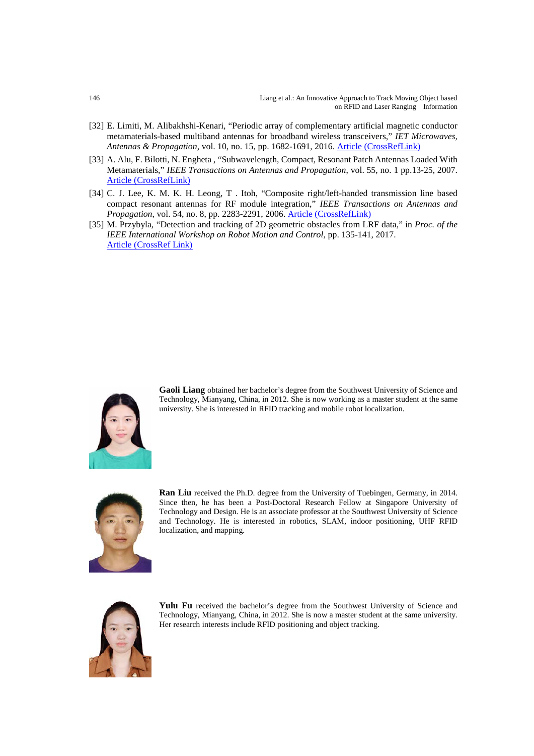- [32] E. Limiti, M. Alibakhshi-Kenari, "Periodic array of complementary artificial magnetic conductor metamaterials-based multiband antennas for broadband wireless transceivers," *IET Microwaves, Antennas & Propagation*, vol. 10, no. 15, pp. 1682-1691, 2016. [Article \(CrossRefLink\)](http://www.researchgate.net/publication/303905556_Periodic_Array_of_Complementary_Artificial_Magnetic_Conductor_Metamaterials-Based_Multiband_Antennas_for_Broadband_Wireless_Transceivers)
- [33] A. Alu, F. Bilotti, N. Engheta , "Subwavelength, Compact, Resonant Patch Antennas Loaded With Metamaterials," *IEEE Transactions on Antennas and Propagation*, vol. 55, no. 1 pp.13-25, 2007. [Article \(CrossRefLink\)](http://www.researchgate.net/publication/3018934_Subwavelength_Compact_Resonant_Patch_Antennas_Loaded_With_Metamaterials)
- [34] C. J. Lee, K. M. K. H. Leong, T . Itoh, "Composite right/left-handed transmission line based compact resonant antennas for RF module integration," *IEEE Transactions on Antennas and Propagation*, vol. 54, no. 8, pp. 2283-2291, 2006. **[Article \(CrossRefLink\)](https://www.researchgate.net/publication/3018709_Composite_RightLeft-Handed_Transmission_Line_Based_Compact_Resonant_Antennas_for_RF_Module_Integration)**
- [35] M. Przybyla, "Detection and tracking of 2D geometric obstacles from LRF data," in *Proc. of the IEEE International Workshop on Robot Motion and Control*, pp. 135-141, 2017. [Article \(CrossRef Link\)](https://www.researchgate.net/publication/319051656_Detection_and_tracking_of_2D_geometric_obstacles_from_LRF_data)



**Gaoli Liang** obtained her bachelor's degree from the Southwest University of Science and Technology, Mianyang, China, in 2012. She is now working as a master student at the same university. She is interested in RFID tracking and mobile robot localization.



**Ran Liu** received the Ph.D. degree from the University of Tuebingen, Germany, in 2014. Since then, he has been a Post-Doctoral Research Fellow at Singapore University of Technology and Design. He is an associate professor at the Southwest University of Science and Technology. He is interested in robotics, SLAM, indoor positioning, UHF RFID localization, and mapping.



Yulu Fu received the bachelor's degree from the Southwest University of Science and Technology, Mianyang, China, in 2012. She is now a master student at the same university. Her research interests include RFID positioning and object tracking.